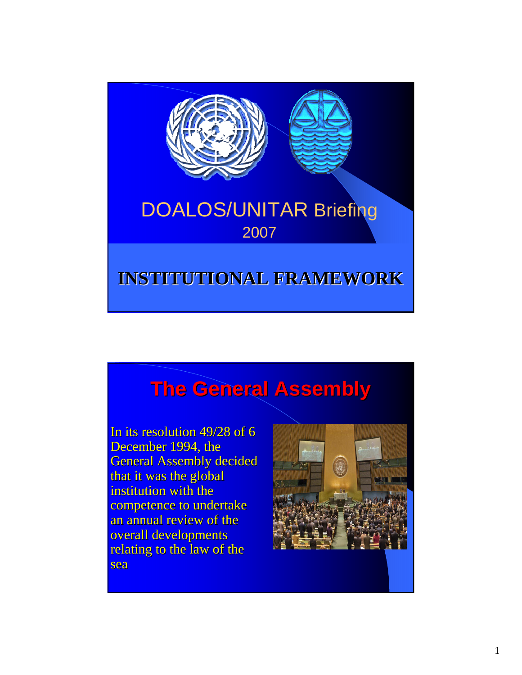

# **The General Assembly The General Assembly**

In its resolution  $49/28$  of 6 December 1994, the **General Assembly decided** that it was the global institution with the competence to undertake an annual review of the overall developments relating to the law of the sea

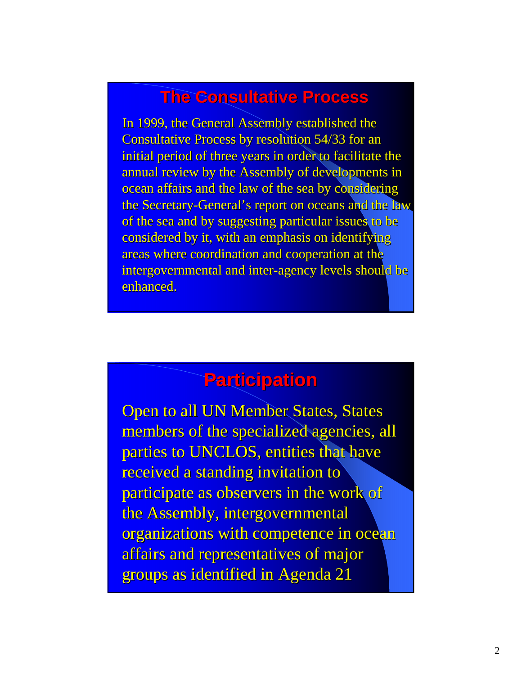### **The Consultative Process**

In 1999, the General Assembly established the Consultative Process by resolution 54/33 for an initial period of three years in order to facilitate the annual review by the Assembly of developments in ocean affairs and the law of the sea by considering the Secretary-General's report on oceans and the law of the sea and by suggesting particular issues to be considered by it, with an emphasis on identifying areas where coordination and cooperation at the intergovernmental and inter-agency levels should be enhanced.

## **Participation Participation**

**Open to all UN Member States, States** members of the specialized agencies, all parties to UNCLOS, entities that have received a standing invitation to participate as observers in the work of the Assembly, intergovernmental organizations with competence in ocean affairs and representatives of major groups as identified in Agenda 21 groups as identified in Agenda 21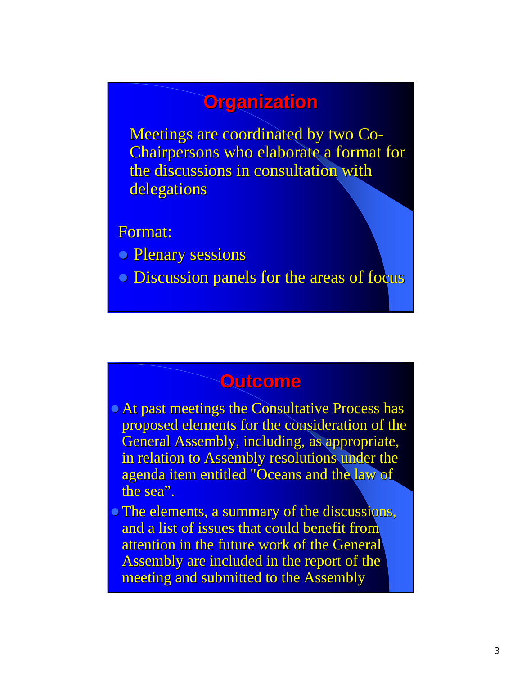## **Organization Organization**

Meetings are coordinated by two Co-Chairpersons who elaborate a format for the discussions in consultation with delegations

Format: Format:

- **Plenary sessions**
- Discussion panels for the areas of focus

#### **Outcome Outcome**

- At past meetings the Consultative Process has proposed elements for the consideration of the General Assembly, including, as appropriate, in relation to Assembly resolutions under the agenda item entitled "Oceans and the law of the sea".
- The elements, a summary of the discussions, and a list of issues that could benefit from attention in the future work of the General Assembly are included in the report of the meeting and submitted to the Assembly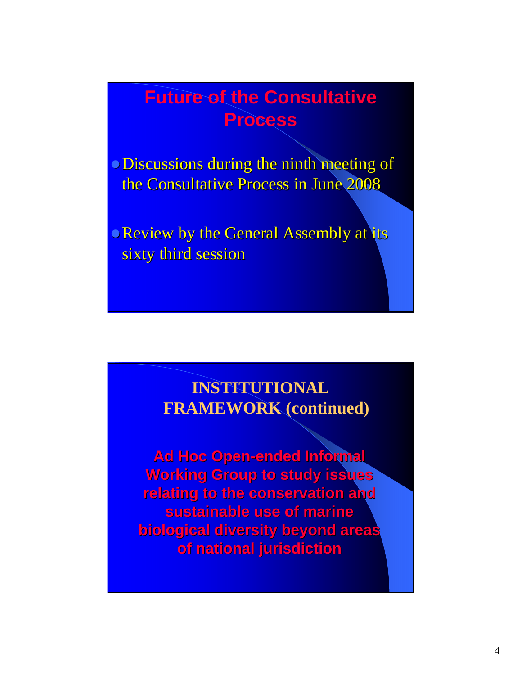# **Future of the Consultative Process**

o Discussions during the ninth meeting of the Consultative Process in June 2008

Review by the General Assembly at its sixty third session

### **INSTITUTIONAL FRAMEWORK (continued)**

**Ad Hoc Open-ended Informal Working Group to study issues relating to the conservation and sustainable use of marine biological diversity beyond areas biological diversity beyond areas of national jurisdiction of national jurisdiction**